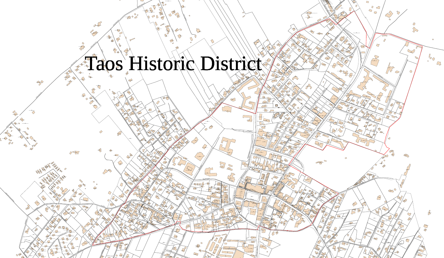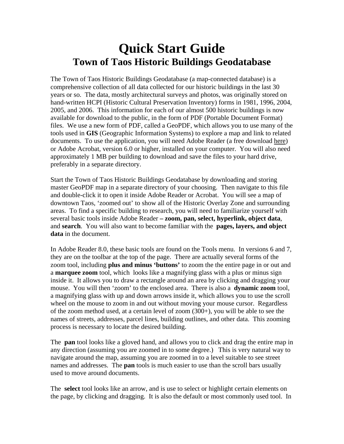## **Quick Start Guide Town of Taos Historic Buildings Geodatabase**

The Town of Taos Historic Buildings Geodatabase (a map-connected database) is a comprehensive collection of all data collected for our historic buildings in the last 30 years or so. The data, mostly architectural surveys and photos, was originally stored on hand-written HCPI (Historic Cultural Preservation Inventory) forms in 1981, 1996, 2004, 2005, and 2006. This information for each of our almost 500 historic buildings is now available for download to the public, in the form of PDF (Portable Document Format) files. We use a new form of PDF, called a GeoPDF, which allows you to use many of the tools used in **GIS** (Geographic Information Systems) to explore a map and link to related documents. To use the application, you will need Adobe Reader (a free download here) or Adobe Acrobat, version 6.0 or higher, installed on your computer. You will also need approximately 1 MB per building to download and save the files to your hard drive, preferably in a separate directory.

Start the Town of Taos Historic Buildings Geodatabase by downloading and storing master GeoPDF map in a separate directory of your choosing. Then navigate to this file and double-click it to open it inside Adobe Reader or Acrobat. You will see a map of downtown Taos, 'zoomed out' to show all of the Historic Overlay Zone and surrounding areas. To find a specific building to research, you will need to familiarize yourself with several basic tools inside Adobe Reader **– zoom, pan, select, hyperlink, object data**, and **search**. You will also want to become familiar with the **pages, layers, and object data** in the document.

In Adobe Reader 8.0, these basic tools are found on the Tools menu. In versions 6 and 7, they are on the toolbar at the top of the page. There are actually several forms of the zoom tool, including **plus and minus 'buttons'** to zoom the the entire page in or out and a **marquee zoom** tool, which looks like a magnifying glass with a plus or minus sign inside it. It allows you to draw a rectangle around an area by clicking and dragging your mouse. You will then 'zoom' to the enclosed area. There is also a **dynamic zoom** tool, a magnifying glass with up and down arrows inside it, which allows you to use the scroll wheel on the mouse to zoom in and out without moving your mouse cursor. Regardless of the zoom method used, at a certain level of zoom (300+), you will be able to see the names of streets, addresses, parcel lines, building outlines, and other data. This zooming process is necessary to locate the desired building.

The **pan** tool looks like a gloved hand, and allows you to click and drag the entire map in any direction (assuming you are zoomed in to some degree.) This is very natural way to navigate around the map, assuming you are zoomed in to a level suitable to see street names and addresses. The **pan** tools is much easier to use than the scroll bars usually used to move around documents.

The **select** tool looks like an arrow, and is use to select or highlight certain elements on the page, by clicking and dragging. It is also the default or most commonly used tool. In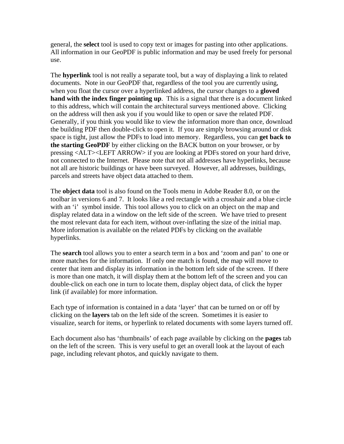general, the **select** tool is used to copy text or images for pasting into other applications. All information in our GeoPDF is public information and may be used freely for personal use.

The **hyperlink** tool is not really a separate tool, but a way of displaying a link to related documents. Note in our GeoPDF that, regardless of the tool you are currently using, when you float the cursor over a hyperlinked address, the cursor changes to a **gloved hand with the index finger pointing up**. This is a signal that there is a document linked to this address, which will contain the architectural surveys mentioned above. Clicking on the address will then ask you if you would like to open or save the related PDF. Generally, if you think you would like to view the information more than once, download the building PDF then double-click to open it. If you are simply browsing around or disk space is tight, just allow the PDFs to load into memory. Regardless, you can **get back to the starting GeoPDF** by either clicking on the BACK button on your browser, or by pressing <ALT><LEFT ARROW> if you are looking at PDFs stored on your hard drive, not connected to the Internet. Please note that not all addresses have hyperlinks, because not all are historic buildings or have been surveyed. However, all addresses, buildings, parcels and streets have object data attached to them.

The **object data** tool is also found on the Tools menu in Adobe Reader 8.0, or on the toolbar in versions 6 and 7. It looks like a red rectangle with a crosshair and a blue circle with an 'i' symbol inside. This tool allows you to click on an object on the map and display related data in a window on the left side of the screen. We have tried to present the most relevant data for each item, without over-inflating the size of the initial map. More information is available on the related PDFs by clicking on the available hyperlinks.

The **search** tool allows you to enter a search term in a box and 'zoom and pan' to one or more matches for the information. If only one match is found, the map will move to center that item and display its information in the bottom left side of the screen. If there is more than one match, it will display them at the bottom left of the screen and you can double-click on each one in turn to locate them, display object data, of click the hyper link (if available) for more information.

Each type of information is contained in a data 'layer' that can be turned on or off by clicking on the **layers** tab on the left side of the screen. Sometimes it is easier to visualize, search for items, or hyperlink to related documents with some layers turned off.

Each document also has 'thumbnails' of each page available by clicking on the **pages** tab on the left of the screen. This is very useful to get an overall look at the layout of each page, including relevant photos, and quickly navigate to them.